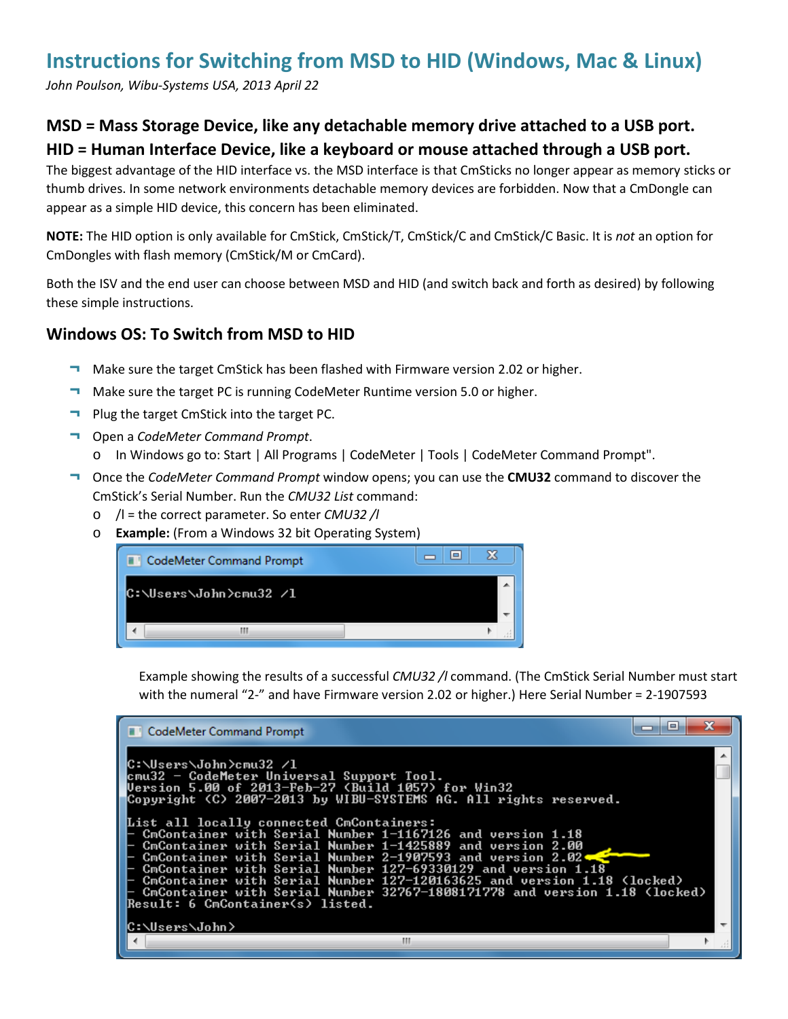# **Instructions for Switching from MSD to HID (Windows, Mac & Linux)**

*John Poulson, Wibu-Systems USA, 2013 April 22*

## **MSD = Mass Storage Device, like any detachable memory drive attached to a USB port. HID = Human Interface Device, like a keyboard or mouse attached through a USB port.**

The biggest advantage of the HID interface vs. the MSD interface is that CmSticks no longer appear as memory sticks or thumb drives. In some network environments detachable memory devices are forbidden. Now that a CmDongle can appear as a simple HID device, this concern has been eliminated.

**NOTE:** The HID option is only available for CmStick, CmStick/T, CmStick/C and CmStick/C Basic. It is *not* an option for CmDongles with flash memory (CmStick/M or CmCard).

Both the ISV and the end user can choose between MSD and HID (and switch back and forth as desired) by following these simple instructions.

#### **Windows OS: To Switch from MSD to HID**

- ¬ Make sure the target CmStick has been flashed with Firmware version 2.02 or higher.
- ¬ Make sure the target PC is running CodeMeter Runtime version 5.0 or higher.
- ¬ Plug the target CmStick into the target PC.
- ¬ Open a *CodeMeter Command Prompt*.
	- o In Windows go to: Start | All Programs | CodeMeter | Tools | CodeMeter Command Prompt".
- ¬ Once the *CodeMeter Command Prompt* window opens; you can use the **CMU32** command to discover the CmStick's Serial Number. Run the *CMU32 List* command:
	- o /l = the correct parameter. So enter *CMU32 /l*
	- o **Example:** (From a Windows 32 bit Operating System)



Example showing the results of a successful *CMU32 /l* command. (The CmStick Serial Number must start with the numeral "2-" and have Firmware version 2.02 or higher.) Here Serial Number = 2-1907593

| <b>CodeMeter Command Prompt</b>                                                                                                        |  |
|----------------------------------------------------------------------------------------------------------------------------------------|--|
| C:\Users\John>cmu32 /1                                                                                                                 |  |
| cmu32 - CodeMeter Universal Support Tool.                                                                                              |  |
| Version 5.00 of 2013-Feb-27 (Build 1057) for Win32                                                                                     |  |
| Copyright (C) 2007-2013 by WIBU-SYSTEMS AG. All rights reserved.                                                                       |  |
| List all locally connected CmContainers:                                                                                               |  |
| CmContainer with Serial Number 1-1167126 and version 1.18                                                                              |  |
| CmContainer with Serial Number 1-1425889 and version 2.00<br>$\vdash$ CmContainer with Serial Number 2-1907593 and version 2.02 $\Box$ |  |
| $\vdash$ CmContainer with Serial Number 127–69330129 and version 1.18                                                                  |  |
| $\vdash$ CmContainer with Serial Number 127–120163625 and version 1.18 <code><locked< code="">&gt;</locked<></code>                    |  |
| - CmContainer with Serial Number 32767-1808171778 and version 1.18 (locked)                                                            |  |
| Result: 6 CmContainer(s) listed.                                                                                                       |  |
| C:\Users\John>                                                                                                                         |  |
| Ш                                                                                                                                      |  |
|                                                                                                                                        |  |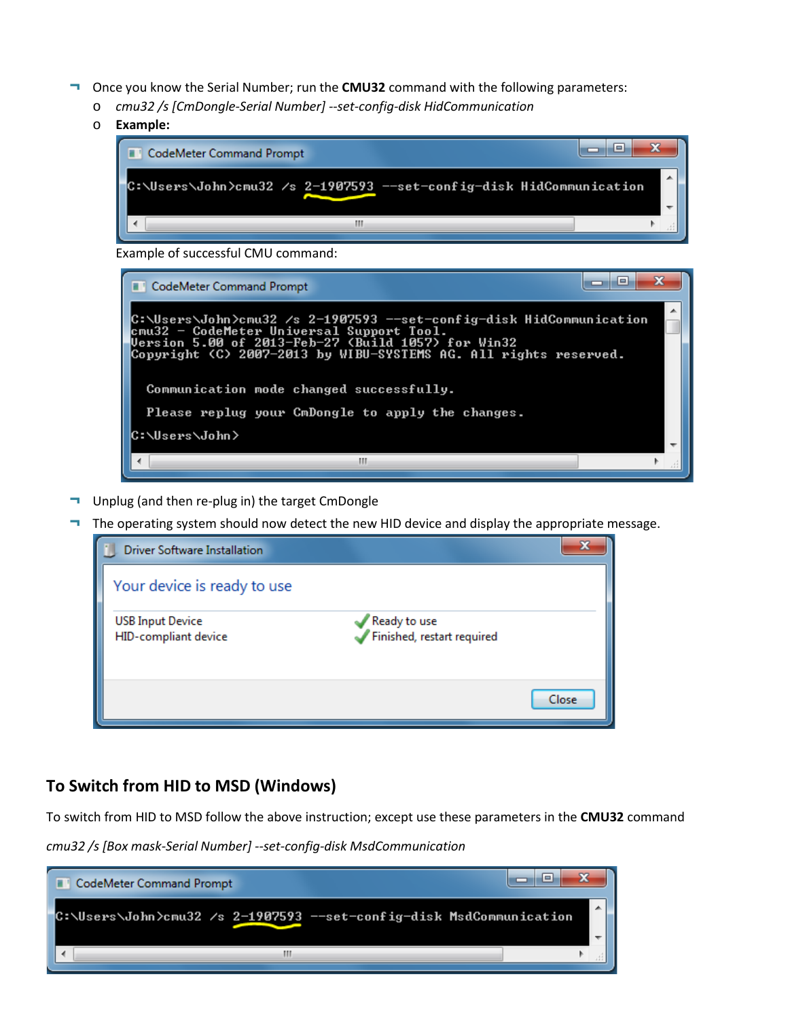- Once you know the Serial Number; run the **CMU32** command with the following parameters:
	- o *cmu32 /s [CmDongle-Serial Number] --set-config-disk HidCommunication*
	- o **Example:**



Example of successful CMU command:



- Unplug (and then re-plug in) the target CmDongle
- The operating system should now detect the new HID device and display the appropriate message.

| <b>Driver Software Installation</b>             |                                            | X     |
|-------------------------------------------------|--------------------------------------------|-------|
| Your device is ready to use                     |                                            |       |
| <b>USB Input Device</b><br>HID-compliant device | Ready to use<br>Finished, restart required |       |
|                                                 |                                            | Close |

#### **To Switch from HID to MSD (Windows)**

To switch from HID to MSD follow the above instruction; except use these parameters in the **CMU32** command

*cmu32 /s [Box mask-Serial Number] --set-config-disk MsdCommunication*

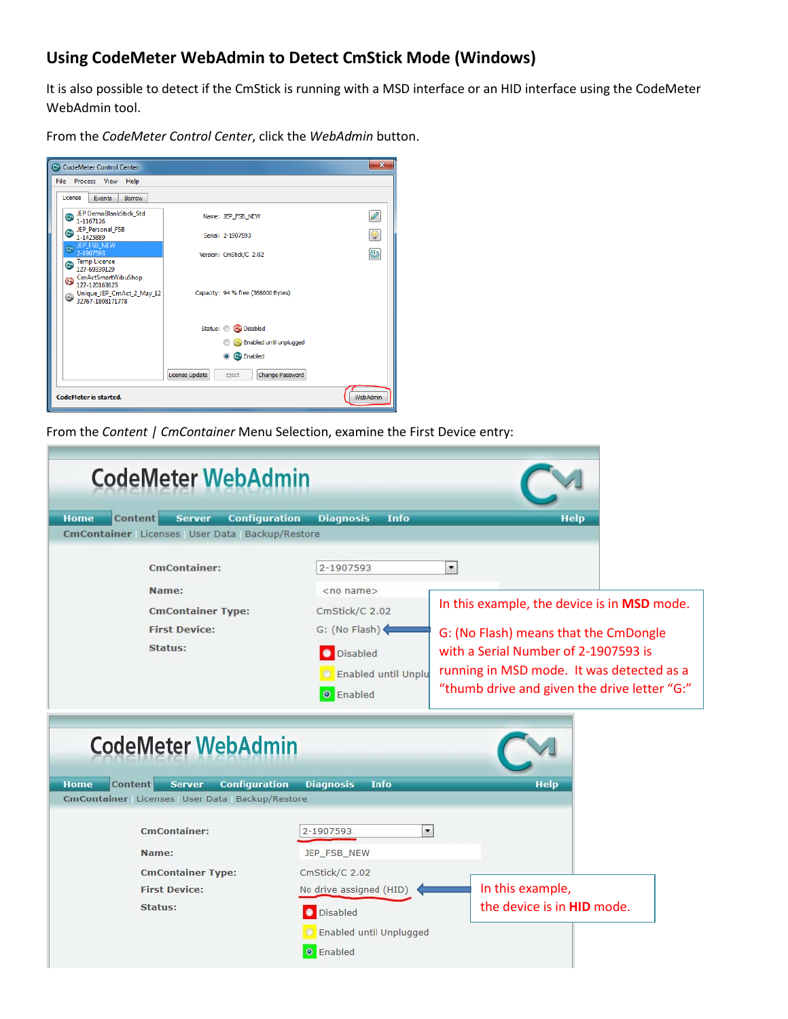## **Using CodeMeter WebAdmin to Detect CmStick Mode (Windows)**

It is also possible to detect if the CmStick is running with a MSD interface or an HID interface using the CodeMeter WebAdmin tool.

From the *CodeMeter Control Center*, click the *WebAdmin* button.

| CodeMeter Control Center                                                                                                 |                |                                    | $\mathbf{x}$ |
|--------------------------------------------------------------------------------------------------------------------------|----------------|------------------------------------|--------------|
| File Process View Help                                                                                                   |                |                                    |              |
| License<br>Events<br><b>Borrow</b>                                                                                       |                |                                    |              |
| JEP DemoBlankStick_Std<br>$\bullet$<br>1-1167126                                                                         |                | Name: JEP FSB NEW                  | Í            |
| JEP Personal FSB<br>$\bullet$<br>1-1425889                                                                               |                | Serial: 2-1907593                  | Q            |
| JEP FSB NEW<br>$\mathbf{C}$<br>2-1907593<br>Temp License                                                                 |                | Version: CmStick/C 2.02            | ಠ            |
| 127-69330129<br>CmActSmartWibuShop<br>$\mathbf{G}$<br>127-120163625<br>Unique_JEP_CmAct_2_May_12<br>$92767 - 1808171778$ |                | Capacity: 94 % free (368000 Bytes) |              |
|                                                                                                                          |                | Status: C C Disabled               |              |
|                                                                                                                          |                | Co Enabled until unplugged         |              |
|                                                                                                                          |                | c <sup>o</sup> Enabled<br>$\odot$  |              |
|                                                                                                                          | License Update | Change Password<br>Eject           |              |
| <b>CodeMeter is started.</b>                                                                                             |                |                                    | WebAdmin     |

From the *Content | CmContainer* Menu Selection, examine the First Device entry:

| <b>CodeMeter WebAdmin</b>                                                                                               |                                                                                                                            |                                                                                                                                                                                                                                             |
|-------------------------------------------------------------------------------------------------------------------------|----------------------------------------------------------------------------------------------------------------------------|---------------------------------------------------------------------------------------------------------------------------------------------------------------------------------------------------------------------------------------------|
| <b>Content</b><br><b>Server</b><br><b>Home</b><br><b>Configuration</b><br>CmContainer Licenses User Data Backup/Restore | <b>Diagnosis</b><br>Info                                                                                                   | <b>Help</b>                                                                                                                                                                                                                                 |
| <b>CmContainer:</b><br>Name:<br><b>CmContainer Type:</b><br><b>First Device:</b><br>Status:                             | 2-1907593<br>$<$ no name $>$<br>CmStick/C 2.02<br>G: (No Flash)<br>O Disabled<br><b>C</b> Enabled until Unplu<br>O Enabled | $\blacksquare$<br>In this example, the device is in MSD mode.<br>G: (No Flash) means that the CmDongle<br>with a Serial Number of 2-1907593 is<br>running in MSD mode. It was detected as a<br>"thumb drive and given the drive letter "G:" |
| <b>CodeMeter WebAdmin</b><br><b>Content</b><br><b>Server</b><br><b>Configuration</b><br>Home                            | <b>Diagnosis</b><br><b>Info</b>                                                                                            | <b>Help</b>                                                                                                                                                                                                                                 |
| CmContainer Licenses User Data Backup/Restore                                                                           |                                                                                                                            |                                                                                                                                                                                                                                             |
| <b>CmContainer:</b><br>Name:<br><b>CmContainer Type:</b><br><b>First Device:</b><br>Status:                             | $\blacktriangledown$<br>2-1907593<br>JEP_FSB_NEW<br>CmStick/C 2.02<br>No drive assigned (HID)                              | In this example,<br>the device is in <b>HID</b> mode.                                                                                                                                                                                       |
|                                                                                                                         | Disabled<br><b>D</b> Enabled until Unplugged<br><b>O</b> Enabled                                                           |                                                                                                                                                                                                                                             |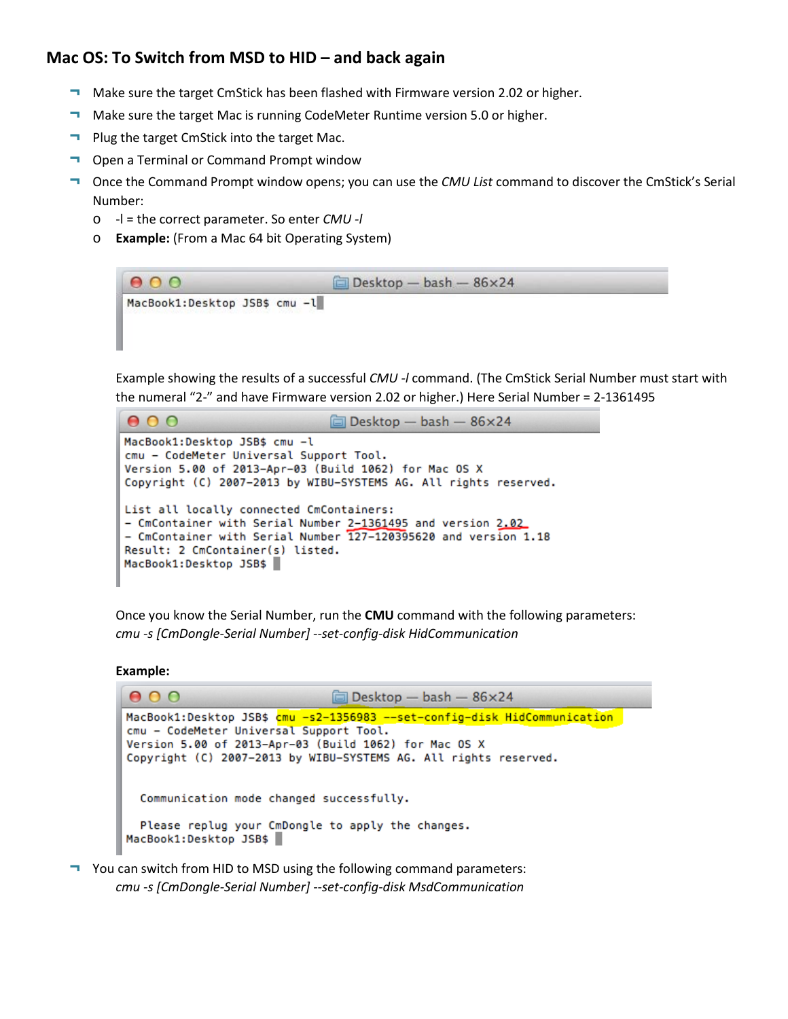#### **Mac OS: To Switch from MSD to HID – and back again**

- ¬ Make sure the target CmStick has been flashed with Firmware version 2.02 or higher.
- ¬ Make sure the target Mac is running CodeMeter Runtime version 5.0 or higher.
- ¬ Plug the target CmStick into the target Mac.
- ¬ Open a Terminal or Command Prompt window
- ¬ Once the Command Prompt window opens; you can use the *CMU List* command to discover the CmStick's Serial Number:
	- o -l = the correct parameter. So enter *CMU -l*
	- o **Example:** (From a Mac 64 bit Operating System)

| 000                                                                                | $\Box$ Desktop - bash - 86×24 |  |
|------------------------------------------------------------------------------------|-------------------------------|--|
| MacBook1:Desktop JSB\$ cmu -l<br>도시간 정비관이 되었어요? 저 사회에서 그의 아이들은 생산을 보고 있는 것 같아요? 오늘 |                               |  |

Example showing the results of a successful *CMU -l* command. (The CmStick Serial Number must start with the numeral "2-" and have Firmware version 2.02 or higher.) Here Serial Number = 2-1361495



Once you know the Serial Number, run the **CMU** command with the following parameters: *cmu -s [CmDongle-Serial Number] --set-config-disk HidCommunication*

**Example:**



¬ You can switch from HID to MSD using the following command parameters: *cmu -s [CmDongle-Serial Number] --set-config-disk MsdCommunication*